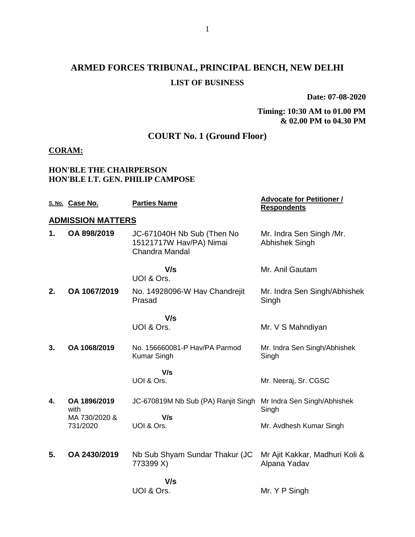# **ARMED FORCES TRIBUNAL, PRINCIPAL BENCH, NEW DELHI LIST OF BUSINESS**

**Date: 07-08-2020**

### **Timing: 10:30 AM to 01.00 PM & 02.00 PM to 04.30 PM**

# **COURT No. 1 (Ground Floor)**

## **CORAM:**

### **HON'BLE THE CHAIRPERSON HON'BLE LT. GEN. PHILIP CAMPOSE**

|    | S. No. Case No.           | <b>Parties Name</b>                                                     | <b>Advocate for Petitioner /</b><br><b>Respondents</b> |
|----|---------------------------|-------------------------------------------------------------------------|--------------------------------------------------------|
|    | <b>ADMISSION MATTERS</b>  |                                                                         |                                                        |
| 1. | OA 898/2019               | JC-671040H Nb Sub (Then No<br>15121717W Hav/PA) Nimai<br>Chandra Mandal | Mr. Indra Sen Singh /Mr.<br><b>Abhishek Singh</b>      |
|    |                           | V/s<br>UOI & Ors.                                                       | Mr. Anil Gautam                                        |
| 2. | OA 1067/2019              | No. 14928096-W Hav Chandrejit<br>Prasad                                 | Mr. Indra Sen Singh/Abhishek<br>Singh                  |
|    |                           | V/s                                                                     |                                                        |
|    |                           | UOI & Ors.                                                              | Mr. V S Mahndiyan                                      |
| 3. | OA 1068/2019              | No. 156660081-P Hav/PA Parmod<br><b>Kumar Singh</b>                     | Mr. Indra Sen Singh/Abhishek<br>Singh                  |
|    |                           | V/s<br>UOI & Ors.                                                       | Mr. Neeraj, Sr. CGSC                                   |
| 4. | OA 1896/2019<br>with      | JC-670819M Nb Sub (PA) Ranjit Singh                                     | Mr Indra Sen Singh/Abhishek<br>Singh                   |
|    | MA 730/2020 &<br>731/2020 | V/s<br>UOI & Ors.                                                       | Mr. Avdhesh Kumar Singh                                |
| 5. | OA 2430/2019              | Nb Sub Shyam Sundar Thakur (JC<br>773399 X)                             | Mr Ajit Kakkar, Madhuri Koli &<br>Alpana Yadav         |
|    |                           | V/s<br>UOI & Ors.                                                       | Mr. Y P Singh                                          |
|    |                           |                                                                         |                                                        |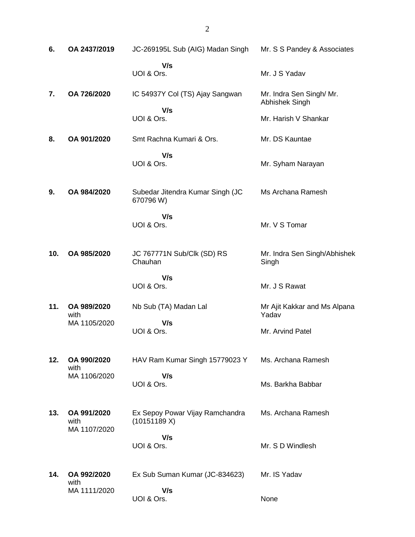| 6.  | OA 2437/2019                        | JC-269195L Sub (AIG) Madan Singh                | Mr. S S Pandey & Associates                |
|-----|-------------------------------------|-------------------------------------------------|--------------------------------------------|
|     |                                     | V/s<br>UOI & Ors.                               | Mr. J S Yadav                              |
| 7.  | OA 726/2020                         | IC 54937Y Col (TS) Ajay Sangwan<br>V/s          | Mr. Indra Sen Singh/ Mr.<br>Abhishek Singh |
|     |                                     | UOI & Ors.                                      | Mr. Harish V Shankar                       |
| 8.  | OA 901/2020                         | Smt Rachna Kumari & Ors.                        | Mr. DS Kauntae                             |
|     |                                     | V/s<br>UOI & Ors.                               | Mr. Syham Narayan                          |
| 9.  | OA 984/2020                         | Subedar Jitendra Kumar Singh (JC<br>670796W)    | Ms Archana Ramesh                          |
|     |                                     | V/s<br>UOI & Ors.                               | Mr. V S Tomar                              |
| 10. | OA 985/2020                         | JC 767771N Sub/Clk (SD) RS<br>Chauhan           | Mr. Indra Sen Singh/Abhishek<br>Singh      |
|     |                                     | V/s<br>UOI & Ors.                               | Mr. J S Rawat                              |
| 11. | OA 989/2020<br>with                 | Nb Sub (TA) Madan Lal                           | Mr Ajit Kakkar and Ms Alpana<br>Yadav      |
|     | MA 1105/2020                        | V/s<br>UOI & Ors.                               | Mr. Arvind Patel                           |
| 12. | OA 990/2020<br>with                 | HAV Ram Kumar Singh 15779023 Y                  | Ms. Archana Ramesh                         |
|     | MA 1106/2020                        | V/s<br>UOI & Ors.                               | Ms. Barkha Babbar                          |
| 13. | OA 991/2020<br>with<br>MA 1107/2020 | Ex Sepoy Powar Vijay Ramchandra<br>(10151189 X) | Ms. Archana Ramesh                         |
|     |                                     | V/s<br>UOI & Ors.                               | Mr. S D Windlesh                           |
| 14. | OA 992/2020<br>with                 | Ex Sub Suman Kumar (JC-834623)                  | Mr. IS Yadav                               |
|     | MA 1111/2020                        | V/s<br>UOI & Ors.                               | None                                       |

2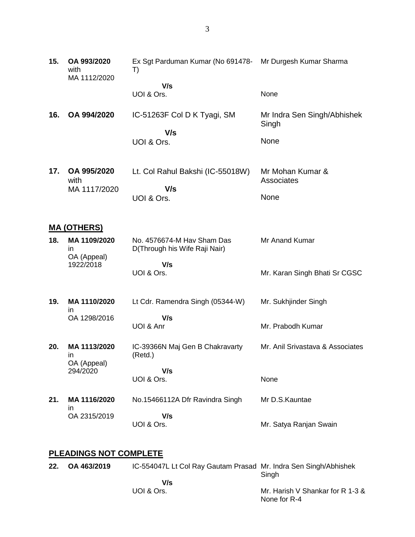- **15. OA 993/2020** with MA 1112/2020 Ex Sgt Parduman Kumar (No 691478- Mr Durgesh Kumar Sharma T)  **V/s** UOI & Ors. None **16. OA 994/2020** IC-51263F Col D K Tyagi, SM  **V/s** UOI & Ors. Mr Indra Sen Singh/Abhishek **Singh** None **17. OA 995/2020** with MA 1117/2020 Lt. Col Rahul Bakshi (IC-55018W)  **V/s** UOI & Ors. Mr Mohan Kumar & **Associates** None **MA (OTHERS) 18. MA 1109/2020** in OA (Appeal) 1922/2018 No. 4576674-M Hav Sham Das D(Through his Wife Raji Nair)  **V/s** UOI & Ors. Mr Anand Kumar Mr. Karan Singh Bhati Sr CGSC
- **19. MA 1110/2020** in OA 1298/2016 Lt Cdr. Ramendra Singh (05344-W)  **V/s** UOI & Anr Mr. Sukhjinder Singh Mr. Prabodh Kumar
- **20. MA 1113/2020** in OA (Appeal) 294/2020 IC-39366N Maj Gen B Chakravarty (Retd.)  **V/s** UOI & Ors. Mr. Anil Srivastava & Associates None
- **21. MA 1116/2020** in OA 2315/2019 No.15466112A Dfr Ravindra Singh  **V/s** UOI & Ors. Mr D.S.Kauntae Mr. Satya Ranjan Swain

### **PLEADINGS NOT COMPLETE**

| 22. | OA 463/2019 | IC-554047L Lt Col Ray Gautam Prasad Mr. Indra Sen Singh/Abhishek | Singh                                            |
|-----|-------------|------------------------------------------------------------------|--------------------------------------------------|
|     |             | V/s                                                              |                                                  |
|     |             | UOI & Ors.                                                       | Mr. Harish V Shankar for R 1-3 &<br>None for R-4 |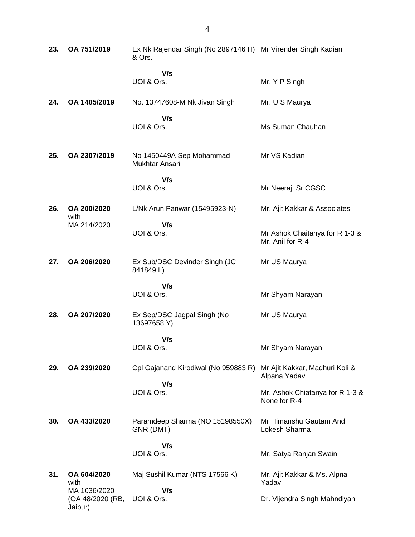| 23. | OA 751/2019                                 | Ex Nk Rajendar Singh (No 2897146 H) Mr Virender Singh Kadian<br>& Ors. |                                                    |
|-----|---------------------------------------------|------------------------------------------------------------------------|----------------------------------------------------|
|     |                                             | V/s<br>UOI & Ors.                                                      | Mr. Y P Singh                                      |
| 24. | OA 1405/2019                                | No. 13747608-M Nk Jivan Singh                                          | Mr. U S Maurya                                     |
|     |                                             | V/s<br>UOI & Ors.                                                      | Ms Suman Chauhan                                   |
| 25. | OA 2307/2019                                | No 1450449A Sep Mohammad<br>Mukhtar Ansari                             | Mr VS Kadian                                       |
|     |                                             | V/s<br>UOI & Ors.                                                      | Mr Neeraj, Sr CGSC                                 |
| 26. | OA 200/2020<br>with                         | L/Nk Arun Panwar (15495923-N)                                          | Mr. Ajit Kakkar & Associates                       |
|     | MA 214/2020                                 | V/s<br>UOI & Ors.                                                      | Mr Ashok Chaitanya for R 1-3 &<br>Mr. Anil for R-4 |
| 27. | OA 206/2020                                 | Ex Sub/DSC Devinder Singh (JC<br>841849L)                              | Mr US Maurya                                       |
|     |                                             | V/s<br>UOI & Ors.                                                      | Mr Shyam Narayan                                   |
| 28. | OA 207/2020                                 | Ex Sep/DSC Jagpal Singh (No<br>13697658 Y)                             | Mr US Maurya                                       |
|     |                                             | V/s<br>UOI & Ors.                                                      | Mr Shyam Narayan                                   |
| 29. | OA 239/2020                                 | Cpl Gajanand Kirodiwal (No 959883 R)                                   | Mr Ajit Kakkar, Madhuri Koli &<br>Alpana Yadav     |
|     |                                             | V/s<br>UOI & Ors.                                                      | Mr. Ashok Chiatanya for R 1-3 &<br>None for R-4    |
| 30. | OA 433/2020                                 | Paramdeep Sharma (NO 15198550X)<br>GNR (DMT)                           | Mr Himanshu Gautam And<br>Lokesh Sharma            |
|     |                                             | V/s<br>UOI & Ors.                                                      | Mr. Satya Ranjan Swain                             |
| 31. | OA 604/2020<br>with                         | Maj Sushil Kumar (NTS 17566 K)                                         | Mr. Ajit Kakkar & Ms. Alpna<br>Yadav               |
|     | MA 1036/2020<br>(OA 48/2020 (RB,<br>Jaipur) | V/s<br>UOI & Ors.                                                      | Dr. Vijendra Singh Mahndiyan                       |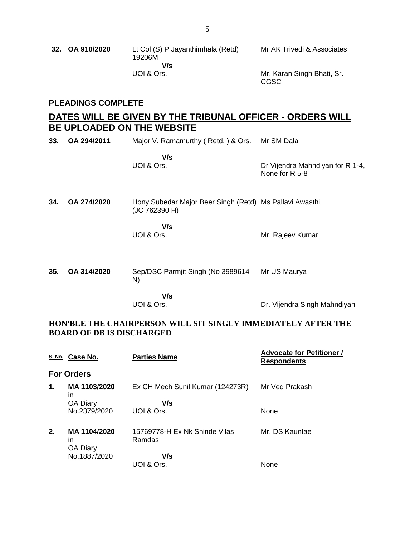| 32. OA 910/2020 | Lt Col (S) P Jayanthimhala (Retd)<br>19206M<br>V/s | Mr AK Trivedi & Associates          |
|-----------------|----------------------------------------------------|-------------------------------------|
|                 | UOI & Ors.                                         | Mr. Karan Singh Bhati, Sr.<br>CGSC. |

## **PLEADINGS COMPLETE**

# **DATES WILL BE GIVEN BY THE TRIBUNAL OFFICER - ORDERS WILL BE UPLOADED ON THE WEBSITE**

| 33. | OA 294/2011 | Major V. Ramamurthy (Retd.) & Ors.                                       | Mr SM Dalal                                        |
|-----|-------------|--------------------------------------------------------------------------|----------------------------------------------------|
|     |             | V/s<br>UOI & Ors.                                                        | Dr Vijendra Mahndiyan for R 1-4,<br>None for R 5-8 |
| 34. | OA 274/2020 | Hony Subedar Major Beer Singh (Retd) Ms Pallavi Awasthi<br>(JC 762390 H) |                                                    |
|     |             | V/s<br>UOI & Ors.                                                        | Mr. Rajeev Kumar                                   |
| 35. | OA 314/2020 | Sep/DSC Parmjit Singh (No 3989614<br>N)                                  | Mr US Maurya                                       |
|     |             | V/s<br>UOI & Ors.                                                        | Dr. Vijendra Singh Mahndiyan                       |

### **HON'BLE THE CHAIRPERSON WILL SIT SINGLY IMMEDIATELY AFTER THE BOARD OF DB IS DISCHARGED**

|               | S. No. Case No.                | <b>Parties Name</b>                     | <b>Advocate for Petitioner /</b><br><b>Respondents</b> |
|---------------|--------------------------------|-----------------------------------------|--------------------------------------------------------|
|               | <b>For Orders</b>              |                                         |                                                        |
| $\mathbf 1$ . | MA 1103/2020<br>in             | Ex CH Mech Sunil Kumar (124273R)        | Mr Ved Prakash                                         |
|               | <b>OA Diary</b>                | V/s                                     |                                                        |
|               | No.2379/2020                   | UOI & Ors.                              | None                                                   |
| 2.            | MA 1104/2020<br>in<br>OA Diary | 15769778-H Ex Nk Shinde Vilas<br>Ramdas | Mr. DS Kauntae                                         |
|               | No.1887/2020                   | V/s                                     |                                                        |
|               |                                | UOI & Ors.                              | None                                                   |
|               |                                |                                         |                                                        |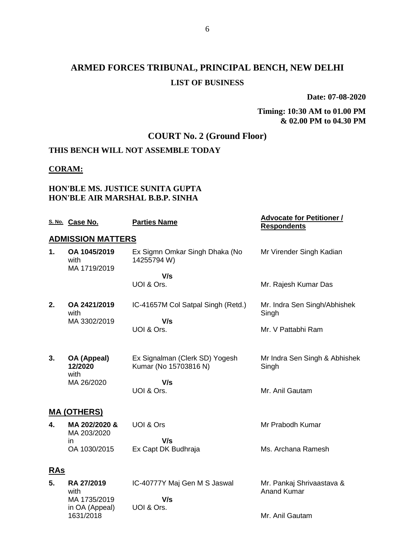# **ARMED FORCES TRIBUNAL, PRINCIPAL BENCH, NEW DELHI LIST OF BUSINESS**

**Date: 07-08-2020**

### **Timing: 10:30 AM to 01.00 PM & 02.00 PM to 04.30 PM**

# **COURT No. 2 (Ground Floor)**

## **THIS BENCH WILL NOT ASSEMBLE TODAY**

### **CORAM:**

## **HON'BLE MS. JUSTICE SUNITA GUPTA HON'BLE AIR MARSHAL B.B.P. SINHA**

|            | S. No. Case No.                           | <b>Parties Name</b>                                     | <b>Advocate for Petitioner /</b><br><b>Respondents</b> |
|------------|-------------------------------------------|---------------------------------------------------------|--------------------------------------------------------|
|            | <b>ADMISSION MATTERS</b>                  |                                                         |                                                        |
| 1.         | OA 1045/2019<br>with<br>MA 1719/2019      | Ex Sigmn Omkar Singh Dhaka (No<br>14255794 W)           | Mr Virender Singh Kadian                               |
|            |                                           | V/s                                                     |                                                        |
|            |                                           | UOI & Ors.                                              | Mr. Rajesh Kumar Das                                   |
| 2.         | OA 2421/2019<br>with                      | IC-41657M Col Satpal Singh (Retd.)                      | Mr. Indra Sen Singh/Abhishek<br>Singh                  |
|            | MA 3302/2019                              | V/s<br>UOI & Ors.                                       | Mr. V Pattabhi Ram                                     |
| 3.         | OA (Appeal)<br>12/2020<br>with            | Ex Signalman (Clerk SD) Yogesh<br>Kumar (No 15703816 N) | Mr Indra Sen Singh & Abhishek<br>Singh                 |
|            | MA 26/2020                                | V/s<br>UOI & Ors.                                       | Mr. Anil Gautam                                        |
|            | <b>MA (OTHERS)</b>                        |                                                         |                                                        |
| 4.         | MA 202/2020 &<br>MA 203/2020              | UOI & Ors                                               | Mr Prabodh Kumar                                       |
|            | in<br>OA 1030/2015                        | V/s<br>Ex Capt DK Budhraja                              | Ms. Archana Ramesh                                     |
| <b>RAs</b> |                                           |                                                         |                                                        |
| 5.         | <b>RA 27/2019</b><br>with<br>MA 1735/2019 | IC-40777Y Maj Gen M S Jaswal<br>V/s                     | Mr. Pankaj Shrivaastava &<br><b>Anand Kumar</b>        |
|            | in OA (Appeal)                            | UOI & Ors.                                              |                                                        |
|            | 1631/2018                                 |                                                         | Mr. Anil Gautam                                        |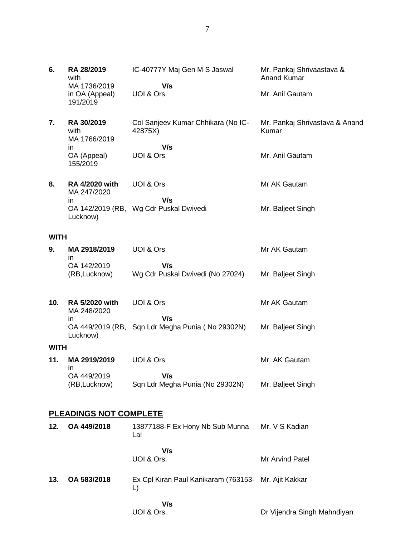| 6.          | RA 28/2019<br>with<br>MA 1736/2019<br>in OA (Appeal)<br>191/2019 | IC-40777Y Maj Gen M S Jaswal<br>V/s<br>UOI & Ors.          | Mr. Pankaj Shrivaastava &<br><b>Anand Kumar</b><br>Mr. Anil Gautam |
|-------------|------------------------------------------------------------------|------------------------------------------------------------|--------------------------------------------------------------------|
| 7.          | RA 30/2019<br>with<br>MA 1766/2019                               | Col Sanjeev Kumar Chhikara (No IC-<br>42875X)              | Mr. Pankaj Shrivastava & Anand<br>Kumar                            |
|             | in<br>OA (Appeal)<br>155/2019                                    | V/s<br>UOI & Ors                                           | Mr. Anil Gautam                                                    |
| 8.          | <b>RA 4/2020 with</b><br>MA 247/2020                             | UOI & Ors                                                  | Mr AK Gautam                                                       |
|             | in<br>Lucknow)                                                   | V/s<br>OA 142/2019 (RB, Wg Cdr Puskal Dwivedi              | Mr. Baljeet Singh                                                  |
| <b>WITH</b> |                                                                  |                                                            |                                                                    |
| 9.          | MA 2918/2019<br>in                                               | UOI & Ors                                                  | Mr AK Gautam                                                       |
|             | OA 142/2019<br>(RB, Lucknow)                                     | V/s<br>Wg Cdr Puskal Dwivedi (No 27024)                    | Mr. Baljeet Singh                                                  |
| 10.         | <b>RA 5/2020 with</b><br>MA 248/2020                             | UOI & Ors                                                  | Mr AK Gautam                                                       |
|             | in<br>Lucknow)                                                   | V/s<br>OA 449/2019 (RB, Sqn Ldr Megha Punia (No 29302N)    | Mr. Baljeet Singh                                                  |
| <b>WITH</b> |                                                                  |                                                            |                                                                    |
| 11.         | MA 2919/2019<br>in                                               | UOI & Ors                                                  | Mr. AK Gautam                                                      |
|             | OA 449/2019<br>(RB, Lucknow)                                     | V/s<br>Sqn Ldr Megha Punia (No 29302N)                     | Mr. Baljeet Singh                                                  |
|             | <b>PLEADINGS NOT COMPLETE</b>                                    |                                                            |                                                                    |
| 12.         | OA 449/2018                                                      | 13877188-F Ex Hony Nb Sub Munna<br>Lal                     | Mr. V S Kadian                                                     |
|             |                                                                  | V/s<br>UOI & Ors.                                          | Mr Arvind Patel                                                    |
| 13.         | OA 583/2018                                                      | Ex Cpl Kiran Paul Kanikaram (763153- Mr. Ajit Kakkar<br>L) |                                                                    |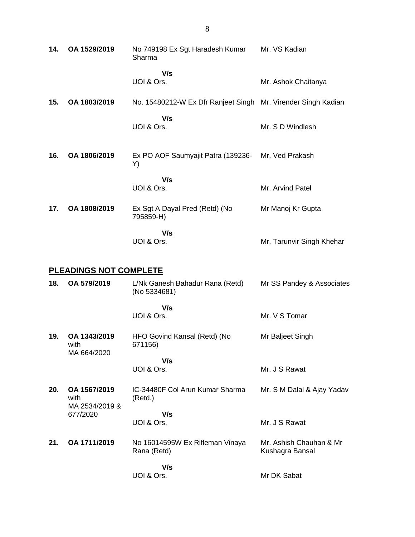| 14.                           | OA 1529/2019 | No 749198 Ex Sgt Haradesh Kumar<br>Sharma                     | Mr. VS Kadian             |  |  |
|-------------------------------|--------------|---------------------------------------------------------------|---------------------------|--|--|
|                               |              | V/s<br>UOI & Ors.                                             | Mr. Ashok Chaitanya       |  |  |
| 15.                           | OA 1803/2019 | No. 15480212-W Ex Dfr Ranjeet Singh Mr. Virender Singh Kadian |                           |  |  |
|                               |              | V/s<br>UOI & Ors.                                             | Mr. S D Windlesh          |  |  |
| 16.                           | OA 1806/2019 | Ex PO AOF Saumyajit Patra (139236-<br>Y)                      | Mr. Ved Prakash           |  |  |
|                               |              | V/s<br>UOI & Ors.                                             | Mr. Arvind Patel          |  |  |
| 17.                           | OA 1808/2019 | Ex Sgt A Dayal Pred (Retd) (No<br>795859-H)                   | Mr Manoj Kr Gupta         |  |  |
|                               |              | V/s<br>UOI & Ors.                                             | Mr. Tarunvir Singh Khehar |  |  |
| <b>PLEADINGS NOT COMPLETE</b> |              |                                                               |                           |  |  |
| 18.                           | OA 579/2019  | L/Nk Ganesh Bahadur Rana (Retd)<br>(No 5334681)               | Mr SS Pandey & Associates |  |  |
|                               |              | V/s<br>UOI & Ors.                                             | Mr. V S Tomar             |  |  |

**19. OA 1343/2019** with MA 664/2020 HFO Govind Kansal (Retd) (No 671156) Mr Baljeet Singh

 **V/s** UOI & Ors.

- **20. OA 1567/2019** with MA 2534/2019 & 677/2020 IC-34480F Col Arun Kumar Sharma (Retd.)  **V/s** UOI & Ors. Mr. S M Dalal & Ajay Yadav Mr. J S Rawat
- **21. OA 1711/2019** No 16014595W Ex Rifleman Vinaya Rana (Retd)  **V/s** Mr. Ashish Chauhan & Mr Kushagra Bansal
	- UOI & Ors. Mr DK Sabat

Mr. J S Rawat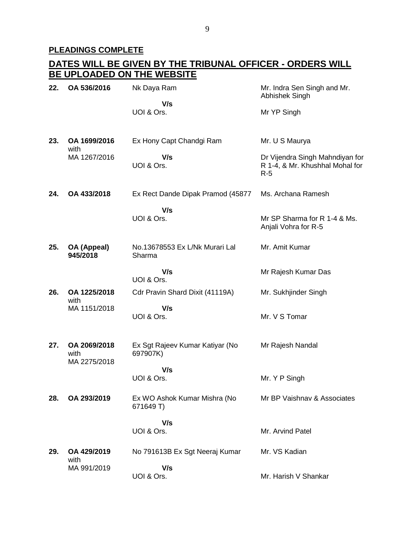# **PLEADINGS COMPLETE**

## **DATES WILL BE GIVEN BY THE TRIBUNAL OFFICER - ORDERS WILL BE UPLOADED ON THE WEBSITE**

| 22. | OA 536/2016                          | Nk Daya Ram                                 | Mr. Indra Sen Singh and Mr.<br>Abhishek Singh                               |
|-----|--------------------------------------|---------------------------------------------|-----------------------------------------------------------------------------|
|     |                                      | V/s<br>UOI & Ors.                           | Mr YP Singh                                                                 |
| 23. | OA 1699/2016<br>with                 | Ex Hony Capt Chandgi Ram                    | Mr. U S Maurya                                                              |
|     | MA 1267/2016                         | V/s<br>UOI & Ors.                           | Dr Vijendra Singh Mahndiyan for<br>R 1-4, & Mr. Khushhal Mohal for<br>$R-5$ |
| 24. | OA 433/2018                          | Ex Rect Dande Dipak Pramod (45877           | Ms. Archana Ramesh                                                          |
|     |                                      | V/s                                         |                                                                             |
|     |                                      | UOI & Ors.                                  | Mr SP Sharma for R 1-4 & Ms.<br>Anjali Vohra for R-5                        |
| 25. | OA (Appeal)<br>945/2018              | No.13678553 Ex L/Nk Murari Lal<br>Sharma    | Mr. Amit Kumar                                                              |
|     |                                      | V/s<br>UOI & Ors.                           | Mr Rajesh Kumar Das                                                         |
| 26. | OA 1225/2018                         | Cdr Pravin Shard Dixit (41119A)             | Mr. Sukhjinder Singh                                                        |
|     | with<br>MA 1151/2018                 | V/s                                         |                                                                             |
|     |                                      | UOI & Ors.                                  | Mr. V S Tomar                                                               |
| 27. | OA 2069/2018<br>with<br>MA 2275/2018 | Ex Sgt Rajeev Kumar Katiyar (No<br>697907K) | Mr Rajesh Nandal                                                            |
|     |                                      | V/s<br>UOI & Ors.                           | Mr. Y P Singh                                                               |
| 28. | OA 293/2019                          | Ex WO Ashok Kumar Mishra (No<br>671649 T)   | Mr BP Vaishnay & Associates                                                 |
|     |                                      | V/s                                         |                                                                             |
|     |                                      | UOI & Ors.                                  | Mr. Arvind Patel                                                            |
| 29. | OA 429/2019<br>with                  | No 791613B Ex Sgt Neeraj Kumar              | Mr. VS Kadian                                                               |
|     | MA 991/2019                          | V/s                                         |                                                                             |
|     |                                      | UOI & Ors.                                  | Mr. Harish V Shankar                                                        |